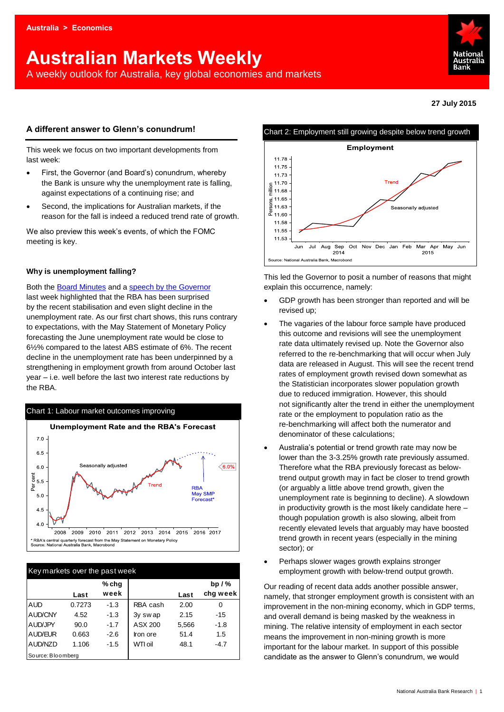# **Australian Markets Weekly**

A weekly outlook for Australia, key global economies and markets



**27 July 2015**

## **A different answer to Glenn's conundrum!**

This week we focus on two important developments from last week:

- First, the Governor (and Board's) conundrum, whereby the Bank is unsure why the unemployment rate is falling, against expectations of a continuing rise; and
- Second, the implications for Australian markets, if the reason for the fall is indeed a reduced trend rate of growth.

We also preview this week's events, of which the FOMC meeting is key.

## **Why is unemployment falling?**

Both the [Board Minutes](http://www.rba.gov.au/monetary-policy/rba-board-minutes/2015/2015-07-07.html) and a [speech by the Governor](http://www.rba.gov.au/speeches/2015/sp-gov-2015-07-22.html) last week highlighted that the RBA has been surprised by the recent stabilisation and even slight decline in the unemployment rate. As our first chart shows, this runs contrary to expectations, with the May Statement of Monetary Policy forecasting the June unemployment rate would be close to 6½% compared to the latest ABS estimate of 6%. The recent decline in the unemployment rate has been underpinned by a strengthening in employment growth from around October last year – i.e. well before the last two interest rate reductions by the RBA.



| Key markets over the past week |        |        |          |       |          |  |  |  |  |
|--------------------------------|--------|--------|----------|-------|----------|--|--|--|--|
|                                |        | % chg  |          |       | bp $/$ % |  |  |  |  |
|                                | Last   | week   |          | Last  | chg week |  |  |  |  |
| <b>AUD</b>                     | 0.7273 | $-1.3$ | RBA cash | 2.00  | 0        |  |  |  |  |
| <b>AUD/CNY</b>                 | 4.52   | $-1.3$ | 3y swap  | 2.15  | $-15$    |  |  |  |  |
| AUD/JPY                        | 90.0   | $-1.7$ | ASX 200  | 5,566 | $-1.8$   |  |  |  |  |
| AUD/EUR                        | 0.663  | $-2.6$ | Iron ore | 51.4  | 1.5      |  |  |  |  |
| AUD/NZD                        | 1.106  | $-1.5$ | WTI oil  | 48.1  | $-4.7$   |  |  |  |  |
| Source: Bloomberg              |        |        |          |       |          |  |  |  |  |



This led the Governor to posit a number of reasons that might explain this occurrence, namely:

- GDP growth has been stronger than reported and will be revised up;
- The vagaries of the labour force sample have produced this outcome and revisions will see the unemployment rate data ultimately revised up. Note the Governor also referred to the re-benchmarking that will occur when July data are released in August. This will see the recent trend rates of employment growth revised down somewhat as the Statistician incorporates slower population growth due to reduced immigration. However, this should not significantly alter the trend in either the unemployment rate or the employment to population ratio as the re-benchmarking will affect both the numerator and denominator of these calculations;
- Australia's potential or trend growth rate may now be lower than the 3-3.25% growth rate previously assumed. Therefore what the RBA previously forecast as belowtrend output growth may in fact be closer to trend growth (or arguably a little above trend growth, given the unemployment rate is beginning to decline). A slowdown in productivity growth is the most likely candidate here – though population growth is also slowing, albeit from recently elevated levels that arguably may have boosted trend growth in recent years (especially in the mining sector); or
- Perhaps slower wages growth explains stronger employment growth with below-trend output growth.

Our reading of recent data adds another possible answer, namely, that stronger employment growth is consistent with an improvement in the non-mining economy, which in GDP terms, and overall demand is being masked by the weakness in mining. The relative intensity of employment in each sector means the improvement in non-mining growth is more important for the labour market. In support of this possible candidate as the answer to Glenn's conundrum, we would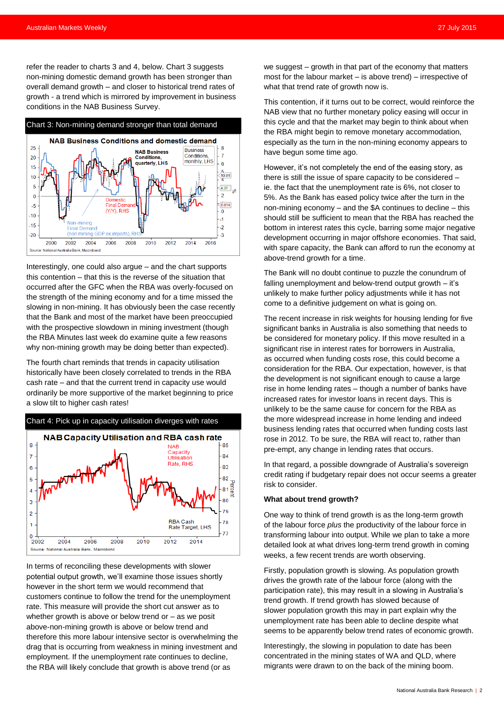refer the reader to charts 3 and 4, below. Chart 3 suggests non-mining domestic demand growth has been stronger than overall demand growth – and closer to historical trend rates of growth - a trend which is mirrored by improvement in business conditions in the NAB Business Survey.



Interestingly, one could also argue – and the chart supports this contention – that this is the reverse of the situation that occurred after the GFC when the RBA was overly-focused on the strength of the mining economy and for a time missed the slowing in non-mining. It has obviously been the case recently that the Bank and most of the market have been preoccupied with the prospective slowdown in mining investment (though the RBA Minutes last week do examine quite a few reasons why non-mining growth may be doing better than expected).

The fourth chart reminds that trends in capacity utilisation historically have been closely correlated to trends in the RBA cash rate – and that the current trend in capacity use would ordinarily be more supportive of the market beginning to price a slow tilt to higher cash rates!



In terms of reconciling these developments with slower potential output growth, we'll examine those issues shortly however in the short term we would recommend that customers continue to follow the trend for the unemployment rate. This measure will provide the short cut answer as to whether growth is above or below trend or – as we posit above-non-mining growth is above or below trend and therefore this more labour intensive sector is overwhelming the drag that is occurring from weakness in mining investment and employment. If the unemployment rate continues to decline, the RBA will likely conclude that growth is above trend (or as

we suggest – growth in that part of the economy that matters most for the labour market – is above trend) – irrespective of what that trend rate of growth now is.

This contention, if it turns out to be correct, would reinforce the NAB view that no further monetary policy easing will occur in this cycle and that the market may begin to think about when the RBA might begin to remove monetary accommodation, especially as the turn in the non-mining economy appears to have begun some time ago.

However, it's not completely the end of the easing story, as there is still the issue of spare capacity to be considered – ie. the fact that the unemployment rate is 6%, not closer to 5%. As the Bank has eased policy twice after the turn in the non-mining economy – and the \$A continues to decline – this should still be sufficient to mean that the RBA has reached the bottom in interest rates this cycle, barring some major negative development occurring in major offshore economies. That said, with spare capacity, the Bank can afford to run the economy at above-trend growth for a time.

The Bank will no doubt continue to puzzle the conundrum of falling unemployment and below-trend output growth – it's unlikely to make further policy adjustments while it has not come to a definitive judgement on what is going on.

The recent increase in risk weights for housing lending for five significant banks in Australia is also something that needs to be considered for monetary policy. If this move resulted in a significant rise in interest rates for borrowers in Australia, as occurred when funding costs rose, this could become a consideration for the RBA. Our expectation, however, is that the development is not significant enough to cause a large rise in home lending rates – though a number of banks have increased rates for investor loans in recent days. This is unlikely to be the same cause for concern for the RBA as the more widespread increase in home lending and indeed business lending rates that occurred when funding costs last rose in 2012. To be sure, the RBA will react to, rather than pre-empt, any change in lending rates that occurs.

In that regard, a possible downgrade of Australia's sovereign credit rating if budgetary repair does not occur seems a greater risk to consider.

#### **What about trend growth?**

One way to think of trend growth is as the long-term growth of the labour force *plus* the productivity of the labour force in transforming labour into output. While we plan to take a more detailed look at what drives long-term trend growth in coming weeks, a few recent trends are worth observing.

Firstly, population growth is slowing. As population growth drives the growth rate of the labour force (along with the participation rate), this may result in a slowing in Australia's trend growth. If trend growth has slowed because of slower population growth this may in part explain why the unemployment rate has been able to decline despite what seems to be apparently below trend rates of economic growth.

Interestingly, the slowing in population to date has been concentrated in the mining states of WA and QLD, where migrants were drawn to on the back of the mining boom.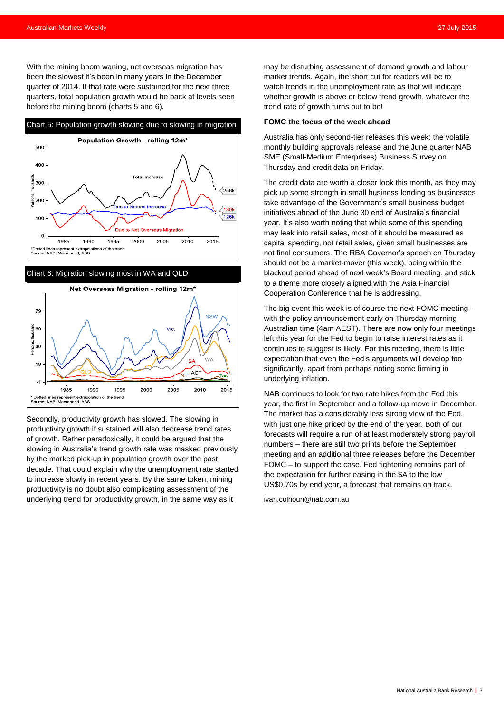With the mining boom waning, net overseas migration has been the slowest it's been in many years in the December quarter of 2014. If that rate were sustained for the next three quarters, total population growth would be back at levels seen before the mining boom (charts 5 and 6).





Secondly, productivity growth has slowed. The slowing in productivity growth if sustained will also decrease trend rates of growth. Rather paradoxically, it could be argued that the slowing in Australia's trend growth rate was masked previously by the marked pick-up in population growth over the past decade. That could explain why the unemployment rate started to increase slowly in recent years. By the same token, mining productivity is no doubt also complicating assessment of the underlying trend for productivity growth, in the same way as it

may be disturbing assessment of demand growth and labour market trends. Again, the short cut for readers will be to watch trends in the unemployment rate as that will indicate whether growth is above or below trend growth, whatever the trend rate of growth turns out to be!

#### **FOMC the focus of the week ahead**

Australia has only second-tier releases this week: the volatile monthly building approvals release and the June quarter NAB SME (Small-Medium Enterprises) Business Survey on Thursday and credit data on Friday.

The credit data are worth a closer look this month, as they may pick up some strength in small business lending as businesses take advantage of the Government's small business budget initiatives ahead of the June 30 end of Australia's financial year. It's also worth noting that while some of this spending may leak into retail sales, most of it should be measured as capital spending, not retail sales, given small businesses are not final consumers. The RBA Governor's speech on Thursday should not be a market-mover (this week), being within the blackout period ahead of next week's Board meeting, and stick to a theme more closely aligned with the Asia Financial Cooperation Conference that he is addressing.

The big event this week is of course the next FOMC meeting – with the policy announcement early on Thursday morning Australian time (4am AEST). There are now only four meetings left this year for the Fed to begin to raise interest rates as it continues to suggest is likely. For this meeting, there is little expectation that even the Fed's arguments will develop too significantly, apart from perhaps noting some firming in underlying inflation.

NAB continues to look for two rate hikes from the Fed this year, the first in September and a follow-up move in December. The market has a considerably less strong view of the Fed, with just one hike priced by the end of the year. Both of our forecasts will require a run of at least moderately strong payroll numbers – there are still two prints before the September meeting and an additional three releases before the December FOMC – to support the case. Fed tightening remains part of the expectation for further easing in the \$A to the low US\$0.70s by end year, a forecast that remains on track.

[ivan.colhoun@nab.com.au](mailto:ivan.colhoun@nab.com.au)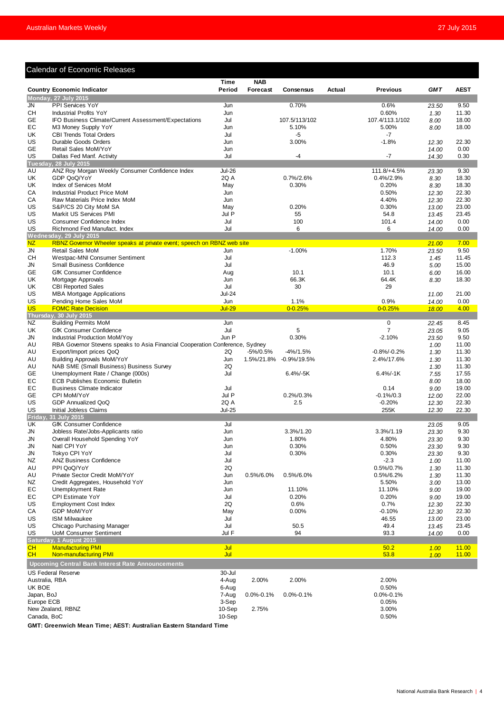#### Calendar of Economic Releases **Time NAB Country Economic Indicator Period Forecast Consensus Actual Previous** *GMT* **AEST** JN PPI Services YoY Jun 0.70% 0.6% *23.50* 9.50 CH Industrial Profits YoY Jun 0.60% *1.30* 11.30 GE IFO Business Climate/Current Assessment/Expectations Jul 107.5/113/102 107.4/113.1/102 8.00 18.00<br>EC M3 Money Supply YoY 18.00 18.00 10.00 Jun 5.10% 5.00% 5.00% 8.00 18.00 Country Economic Indicator<br>
Monday, 27 July 2015<br>
Monday, 27 July 2015<br>
Supply YoY Jun<br>
GE IFO Business Climate/Current Assessment/Expectations<br>
EC M3 Money Supply YoY Jun<br>
CBI Trends Total Orders<br>
CH Industrial Profits Yo UK CBI Trends Total Orders and the control of the control of the control of the control of the control of the control of the control of the control of the control of the control of the control of the control of the control US Durable Goods Orders Jun 3.00% -1.8% *12.30* 22.30 GE Retail Sales MoM/YoY Jun *14.00* 0.00 **Dallas Fed Manf. Activity** 18.00% A U ANZ Roy Morgan Weekly Consumer Confidence Index 10.7%/2.6% **11.8/+4.5% 23.30** 18.30<br>
US CBI Trends Total Orders 10th Vor 10th 1.8% <sup>1</sup>/2.90 <sup>16</sup><br>
US Retail Sales Mon/Yor 10th 1.8% <sup>1</sup>/2.90 <sup>14.00</sup> 0.00<br>
US COP UK GDP QoQ/YoY 2Q A 0.7%/2.6% 0.4%/2.9% *8.30* 18.30 UK Index of Services MoM **May 18.30** May 10.30% 0.20% 0.20% 8.30 18.30<br>CA Industrial Product Price MoM 100 100 100 100 Jun 10.50% 0.50% 12.30 22.30 CA Industrial Product Price MoM Jun 0.50% *12.30* 22.30 CA Raw Materials Price Index MoM Jun 4.40% *12.30* 22.30 US S&P/CS 20 City MoM SA May 0.20% 0.30% *13.00* 23.00 US Markit US Services PMI **10.45** 34.8 **13.45** 34.8 **13.45** 34.8 **13.45** 34.8 **13.45** 34.8 **13.45** 34.8 **13.45** 23.45 US Consumer Confidence Index Jul 100 101.4 *14.00* 0.00 US Richmond Fed Manufact. Index **14.000 and 14.000 and 14.000 and 14.000 and 14.000 and 14.000 and 14.000**<br>Wednesday, 29 July 2015 NZ RBNZ Governor Wheeler speaks at private event; speech on RBNZ web site *21.00* 7.00 JN Retail Sales MoM Jun -1.00% 1.70% *23.50* 9.50 CH Westpac-MNI Consumer Sentiment **CH Microsoft CH Microsoft CH** Microsoft 2014 112.3 11.45 11.45<br>
CH Small Business Confidence **COMICR** 2001 15.00 15.00 15.00 15.00 JN Small Business Confidence Jul 46.9 *5.00* 15.00 GE GfK Consumer Confidence and the second of the Aug 10.1 10.1 10.1 10.1 10.1 16.00 16.00 16.00<br>
UK Mortgage Approvals 18.30 18.30 18.30 18.30 18.30 18.30 18.30 18.30 18.30 18.30 18.30 18.30 18.30 18.30 18.30 UK Mortgage Approvals Jun 66.3K 64.4K *8.30* 18.30 UK CBI Reported Sales<br>
US MBA Mortgage Applications<br>
Jul-24 US MBA Mortgage Applications Jul-24 *11.00* 21.00 US Pending Home Sales MoM Jun 1.1% 0.9% *14.00* 0.00 US FOMC Rate Decision Jul-29 0-0.25% 0-0.25% *18.00* 4.00 NZ Building Permits MoM Jun 0 *22.45* 8.45 UK GfK Consumer Confidence **Observed Accord Consumer Confidence** 3.05 9.05 9.05<br>
UN Industrial Production MoM/Yoy **Consumer Confidence** Jun P 0.30% 1.2.10% 23.50 9.50 JN Industrial Production MoM/Yoy **Jun P** 0.30% 0.30% -2.10% <sup>20.50</sup> 9.50<br>AU RBA Governor Stevens speaks to Asia Financial Cooperation Conference. Sydney **10.00 11.00 11.00** 11.00 N Day Dending Home Sales MoM<br>
Comparison United Stevens speaks to Asia Financial Cooperation Conference, Sydney<br>
A U RBA Governor Stevens speaks to Asia Financial Cooperation Conference, Sydney<br>
M RBA Governor Stevens spea A U Export/Import prices QoQ 2Q -5%/0.5% -4%/1.5% -0.8%/-0.2% *1.30* 11.30 1.30 Thursday, 30 July 2015<br>
NE Building Permits MoM<br>
UK GfK Consumer Confidence<br>
UK GfK Consumer Confidence<br>
UR GfK Consumer Confidence<br>
AU Building Approvals MoM/Yoy<br>
AU Export/Import prices QoQ<br>
AU Building Approvals Mo N2 Building Permits MoM<br>
UK GfK Consumer Confidence<br>
M Industrial Production MoM/Yoy<br>
AU RBA Governo Stevens speaks to Asia Financial Cooperation Conference, Sydney<br>
AU Export/Import prices QoQ<br>
AU Export/Import prices QoQ GE Unemployment Rate / Change (000s) <br>FC FCB Publishes Fconomic Bulletin<br>FC FCB Publishes Fconomic Bulletin 10 In P<br>
AU RBA Governor Stevens speaks to Asia Financial Cooperation Conference, Sydney<br>
AU Export/Import prices QoQ<br>
AU Export/Import prices QoQ<br>
AU Export/Import prices QoQ<br>
AU Building Approvals MoM/YoY<br>
AU Building Ap Read Covernor Stevens speaks to Asia Financial Cooperation Conference, Sydney<br>
AU Export/Import prices QoQ 20 -5%/0.5% -4%/1.5% -0.9%/19.5% -0.8%/-0.2% 1.30 11.30<br>
AU Building Approvals MoM/YoY Jul 1.5%/21.8% -0.9%/19.5% -GE CPI MoM/YoY Jul P 0.2%/0.3% -0.1%/0.3 *12.00* 22.00 US GDP Annualized QoQ 2Q A 2.5 -0.20% *12.30* 22.30 US Initial Jobless Claims Jul-25 255K *12.30* 22.30 UK GfK Consumer Confidence **1998**<br>
Un discussion and the San American Consumer Consumer 23.05 9.05<br>
Jun 3.3%/1.20 3.3%/1.19 23.30 9.30 JN Jobless Rate/Jobs-Applicants ratio Jun 3.3%/1.20 3.3%/1.19 *23.30* 9.30 JN Overall Household Spending YoY Jun 1.80% 4.80% *23.30* 9.30 JN Natl CPI YoY Jun 0.30% 0.50% *23.30* 9.30 JN Tokyo CPI YoY Jul 0.30% 0.30% *23.30* 9.30 NZ ANZ Business Confidence Jul -2.3 *1.00* 11.00 UK GfK Consumer Confidence<br>
1N Jobless Rate/Jobs-Applicants ratio<br>
1N Overall Household Spending YoY<br>
1N Natl CPI YoY<br>
1N Tokyo CPI YoY<br>
1N Tokyo CPI YoY<br>
1N Tokyo CPI YoY<br>
1N Tokyo CPI YoY<br>
12 ANZ Business Confidence<br>
23 <table>\n<tbody>\n<tr>\n<th>JN</th>\n<th>Jobless Rate/Jobs-Applications ratio</th>\n<th>Jun</th>\n<th>3.3%/1.20</th>\n<th>3.3%/1.19</th>\n<th>23.30</th>\n<th>9.30</th>\n</tr>\n<tr>\n<td>JN</td>\n<td>Overall Household Spending YoY</td>\n<td>Jun</td>\n<td>1.80%</td>\n<td>4.80%</td>\n<td>23.30</td>\n<td>9.30</td>\n</tr>\n<tr>\n<td>JN</td>\n<td>Tokyo CPI YoY</td>\n<td>Jun</td>\n<td>0.30%</td>\n<td>0.50%</td>\n NZ Credit Aggregates, Household YoY **3.00** Jun 5.50% 3.00 13.00<br>
S.50% 3.00 13.00 13.00<br>
Jun 11.10% 11.10% 11.10% 9.00 19.00 N Natl CPI YoY<br>
N Tokyo CPI YoY<br>
N Tokyo CPI YoY<br>
N Tokyo CPI YoY<br>
N Tokyo CPI YoY<br>
N Tokyo CPI YoY<br>
N Tokyo CPI YoY<br>
N Tokyo CPI YoY<br>
N Tokyo CPI YoY<br>
N Tokyo CPI YoY<br>
S 20<br>
AU<br>
Private Sector Credit MoM/YoY<br>
N 2 2Q<br>
AU<br> NN Tokyo CPI YoY<br>
NZ ANZ Business Confidence<br>
AU PPI QoQ/YoY<br>
AU PRI QoQ/YoY<br>
AU Private Sector Credit MoM/YoY<br>
NZ Credit Aggregates, Household YoY<br>
NZ Credit Aggregates, Household YoY<br>
NZ Credit Aggregates, Household YoY US Employment Cost Index **12.30**<br>
CA GDP MoM/YoY 12.30 22.30<br>
CA GDP MoM/YoY 12.30 22.30 CA GDP MoM/YoY May 0.00% -0.10% *12.30* 22.30 US ISM Milwaukee Jul 46.55 *13.00* 23.00 US Chicago Purchasing Manager **13.45** 13.45 23.45 **13.45** 13.45 23.45 13.45 13.45 13.45 13.45 13.45 13.45 13.45 13.45 13.45 13.45 13.45 13.45 14.00 1.00 **UoM Consumer Sentiment** CH Manufacturing PMI Jul 50.2 *1.00* 11.00 **Non-manufacturing PMI Upcoming Central Bank Interest Rate** US Federal Reserve 30-Jul<br>Australia RRA 30-Jul Australia, RBA 4-Aug 2.00% 2.00% 2.00% UK BOE 6-Aug 0.50% Japan, BoJ 7-Aug 0.0%-0.1% 0.0%-0.1% 0.0%-0.1% Europe ECB 3-Sep 0.05% New Zealand, RBNZ 3.00% 3.00% 3.00% 3.00% 3.00% 3.00% 3.00% 3.00% 3.00% 3.00% 3.00% 3.00% 3.00% 3.00% 3.00% 3.00% Canada, BoC 10-Sep 0.50% **Thursday, 30 July 2015 Friday, 31 July 2015 Saturday, 1 August 2015 Tuesday, 28 July 2015 Wednesday, 29 July 2015 Monday, 27 July 2015**

**GMT: Greenwich Mean Time; AEST: Australian Eastern Standard Time**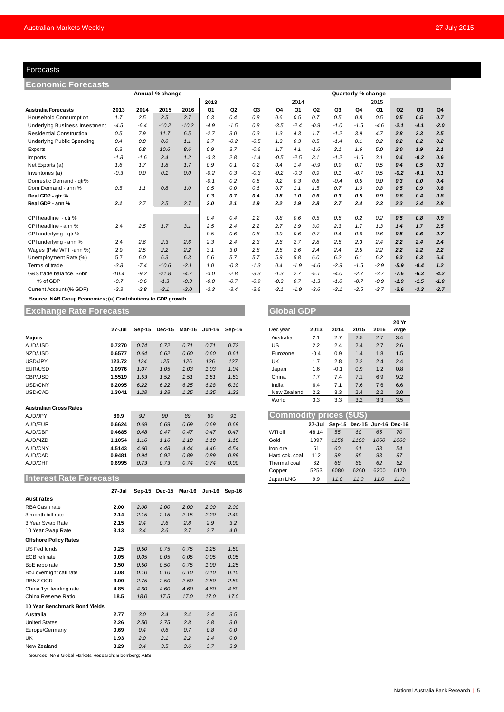### Forecasts

| Forecasts                                                    |         |        |                 |         |        |                |                |                |        |                |                |                    |        |        |                |        |
|--------------------------------------------------------------|---------|--------|-----------------|---------|--------|----------------|----------------|----------------|--------|----------------|----------------|--------------------|--------|--------|----------------|--------|
| Economic Forecasts                                           |         |        |                 |         |        |                |                |                |        |                |                |                    |        |        |                |        |
|                                                              |         |        | Annual % change |         |        |                |                |                |        |                |                | Quarterly % change |        |        |                |        |
|                                                              |         |        |                 |         | 2013   |                |                |                | 2014   |                |                |                    | 2015   |        |                |        |
| <b>Australia Forecasts</b>                                   | 2013    | 2014   | 2015            | 2016    | Q1     | Q <sub>2</sub> | Q <sub>3</sub> | Q <sub>4</sub> | Q1     | Q <sub>2</sub> | Q <sub>3</sub> | Q4                 | Q1     | Q2     | Q <sub>3</sub> | Q4     |
| <b>Household Consumption</b>                                 | 1.7     | 2.5    | 2.5             | 2.7     | 0.3    | 0.4            | 0.8            | 0.6            | 0.5    | 0.7            | 0.5            | 0.8                | 0.5    | 0.5    | 0.5            | 0.7    |
| <b>Underlying Business Investment</b>                        | $-4.5$  | $-6.4$ | $-10.2$         | $-10.2$ | $-4.9$ | $-1.5$         | 0.8            | $-3.5$         | $-2.4$ | $-0.9$         | $-1.0$         | $-1.5$             | $-4.6$ | $-2.1$ | $-4.1$         | $-2.0$ |
| <b>Residential Construction</b>                              | 0.5     | 7.9    | 11.7            | 6.5     | $-2.7$ | 3.0            | 0.3            | 1.3            | 4.3    | 1.7            | $-1.2$         | 3.9                | 4.7    | 2.8    | 2.3            | 2.5    |
| <b>Underlying Public Spending</b>                            | 0.4     | 0.8    | 0.0             | 1.1     | 2.7    | $-0.2$         | $-0.5$         | 1.3            | 0.3    | 0.5            | $-1.4$         | 0.1                | 0.2    | 0.2    | 0.2            | 0.2    |
| Exports                                                      | 6.3     | 6.8    | 10.6            | 8.6     | 0.9    | 3.7            | $-0.6$         | 1.7            | 4.1    | $-1.6$         | 3.1            | 1.6                | 5.0    | 2.0    | 1.9            | 2.1    |
| Imports                                                      | $-1.8$  | $-1.6$ | 2.4             | 1.2     | $-3.3$ | 2.8            | $-1.4$         | $-0.5$         | $-2.5$ | 3.1            | $-1.2$         | $-1.6$             | 3.1    | 0.4    | $-0.2$         | 0.6    |
| Net Exports (a)                                              | 1.6     | 1.7    | 1.8             | 1.7     | 0.9    | 0.1            | 0.2            | 0.4            | 1.4    | $-0.9$         | 0.9            | 0.7                | 0.5    | 0.4    | 0.5            | 0.3    |
| Inventories (a)                                              | $-0.3$  | 0.0    | 0.1             | 0.0     | $-0.2$ | 0.3            | $-0.3$         | $-0.2$         | $-0.3$ | 0.9            | 0.1            | $-0.7$             | 0.5    | $-0.2$ | $-0.1$         | 0.1    |
| Domestic Demand - qtr%                                       |         |        |                 |         | $-0.1$ | 0.2            | 0.5            | 0.2            | 0.3    | 0.6            | $-0.4$         | 0.5                | 0.0    | 0.3    | 0.0            | 0.4    |
| Dom Demand - ann %                                           | 0.5     | 1.1    | 0.8             | 1.0     | 0.5    | 0.0            | 0.6            | 0.7            | 1.1    | 1.5            | 0.7            | 1.0                | 0.8    | 0.5    | 0.9            | 0.8    |
| Real GDP - qtr %                                             |         |        |                 |         | 0.3    | 0.7            | 0.4            | 0.8            | 1.0    | 0.6            | 0.3            | 0.5                | 0.9    | 0.6    | 0.4            | 0.8    |
| Real GDP - ann %                                             | 2.1     | 2.7    | 2.5             | 2.7     | 2.0    | 2.1            | 1.9            | 2.2            | 2.9    | 2.8            | 2.7            | 2.4                | 2.3    | 2.3    | 2.4            | 2.8    |
| CPI headline - qtr %                                         |         |        |                 |         | 0.4    | 0.4            | 1.2            | 0.8            | 0.6    | 0.5            | 0.5            | 0.2                | 0.2    | 0.5    | 0.8            | 0.9    |
| CPI headline - ann %                                         | 2.4     | 2.5    | 1.7             | 3.1     | 2.5    | 2.4            | 2.2            | 2.7            | 2.9    | 3.0            | 2.3            | 1.7                | 1.3    | 1.4    | 1.7            | 2.5    |
| CPI underlying - gtr %                                       |         |        |                 |         | 0.5    | 0.6            | 0.6            | 0.9            | 0.6    | 0.7            | 0.4            | 0.6                | 0.6    | 0.5    | 0.6            | 0.7    |
| CPI underlying - ann %                                       | 2.4     | 2.6    | 2.3             | 2.6     | 2.3    | 2.4            | 2.3            | 2.6            | 2.7    | 2.8            | 2.5            | 2.3                | 2.4    | 2.2    | 2.4            | 2.4    |
| Wages (Pvte WPI -ann %)                                      | 2.9     | 2.5    | 2.2             | 2.2     | 3.1    | 3.0            | 2.8            | 2.5            | 2.6    | 2.4            | 2.4            | 2.5                | 2.2    | 2.2    | 2.2            | 2.2    |
| Unemployment Rate (%)                                        | 5.7     | 6.0    | 6.3             | 6.3     | 5.6    | 5.7            | 5.7            | 5.9            | 5.8    | 6.0            | 6.2            | 6.1                | 6.2    | 6.3    | 6.3            | 6.4    |
| Terms of trade                                               | $-3.8$  | $-7.4$ | $-10.6$         | $-2.1$  | 1.0    | $-0.3$         | $-1.3$         | 0.4            | $-1.9$ | $-4.6$         | $-2.9$         | $-1.5$             | $-2.9$ | $-5.9$ | $-0.4$         | 1.2    |
| G&S trade balance, \$Abn                                     | $-10.4$ | $-9.2$ | $-21.8$         | $-4.7$  | $-3.0$ | $-2.8$         | $-3.3$         | $-1.3$         | 2.7    | $-5.1$         | $-4.0$         | $-2.7$             | $-3.7$ | $-7.6$ | $-6.3$         | $-4.2$ |
| % of GDP                                                     | $-0.7$  | $-0.6$ | $-1.3$          | $-0.3$  | $-0.8$ | $-0.7$         | $-0.9$         | $-0.3$         | 0.7    | $-1.3$         | $-1.0$         | $-0.7$             | $-0.9$ | $-1.9$ | $-1.5$         | $-1.0$ |
| Current Account (% GDP)                                      | $-3.3$  | $-2.8$ | $-3.1$          | $-2.0$  | $-3.3$ | $-3.4$         | $-3.6$         | $-3.1$         | $-1.9$ | $-3.6$         | $-3.1$         | $-2.5$             | $-2.7$ | $-3.6$ | $-3.3$         | $-2.7$ |
| Source: NAB Group Economics; (a) Contributions to GDP growth |         |        |                 |         |        |                |                |                |        |                |                |                    |        |        |                |        |

## **Exchange Rate Forecasts Global GDP Global GDP**

|                               | 27-Jul | Sep-15 | Dec-15 | Mar-16 | Jun-16 | Sep-16 | Dec year       | 2013                           | 2014     | 2015   | 2016          | Avge |
|-------------------------------|--------|--------|--------|--------|--------|--------|----------------|--------------------------------|----------|--------|---------------|------|
| <b>Majors</b>                 |        |        |        |        |        |        | Australia      | 2.1                            | 2.7      | 2.5    | 2.7           | 3.4  |
| AUD/USD                       | 0.7270 | 0.74   | 0.72   | 0.71   | 0.71   | 0.72   | US             | 2.2                            | 2.4      | 2.4    | 2.7           | 2.6  |
| NZD/USD                       | 0.6577 | 0.64   | 0.62   | 0.60   | 0.60   | 0.61   | Eurozone       | $-0.4$                         | 0.9      | 1.4    | 1.8           | 1.5  |
| USD/JPY                       | 123.72 | 124    | 125    | 126    | 126    | 127    | UK             | 1.7                            | 2.8      | 2.2    | 2.4           | 2.4  |
| EUR/USD                       | 1.0976 | 1.07   | 1.05   | 1.03   | 1.03   | 1.04   | Japan          | 1.6                            | $-0.1$   | 0.9    | 1.2           | 0.8  |
| GBP/USD                       | 1.5519 | 1.53   | 1.52   | 1.51   | 1.51   | 1.53   | China          | 7.7                            | 7.4      | 7.1    | 6.9           | 9.2  |
| USD/CNY                       | 6.2095 | 6.22   | 6.22   | 6.25   | 6.28   | 6.30   | India          | 6.4                            | 7.1      | 7.6    | 7.6           | 6.6  |
| USD/CAD                       | 1.3041 | 1.28   | 1.28   | 1.25   | 1.25   | 1.23   | New Zealand    | 2.2                            | 3.3      | 2.4    | 2.2           | 3.0  |
|                               |        |        |        |        |        |        | World          | 3.3                            | 3.3      | 3.2    | 3.3           | 3.5  |
| <b>Australian Cross Rates</b> |        |        |        |        |        |        |                |                                |          |        |               |      |
| AUD/JPY                       | 89.9   | 92     | 90     | 89     | 89     | 91     |                | <b>Commodity prices (\$US)</b> |          |        |               |      |
| AUD/EUR                       | 0.6624 | 0.69   | 0.69   | 0.69   | 0.69   | 0.69   |                | 27-Jul                         | $Sep-15$ | Dec-15 | Jun-16 Dec-16 |      |
| AUD/GBP                       | 0.4685 | 0.48   | 0.47   | 0.47   | 0.47   | 0.47   | WTI oil        | 48.14                          | 55       | 60     | 65            | 70   |
| AUD/NZD                       | 1.1054 | 1.16   | 1.16   | 1.18   | 1.18   | 1.18   | Gold           | 1097                           | 1150     | 1100   | 1060          | 1060 |
| <b>AUD/CNY</b>                | 4.5143 | 4.60   | 4.48   | 4.44   | 4.46   | 4.54   | Iron ore       | 51                             | 60       | 61     | 58            | 54   |
| AUD/CAD                       | 0.9481 | 0.94   | 0.92   | 0.89   | 0.89   | 0.89   | Hard cok. coal | 112                            | 98       | 95     | 93            | 97   |
| <b>AUD/CHF</b>                | 0.6995 | 0.73   | 0.73   | 0.74   | 0.74   | 0.00   | Thermal coal   | 62                             | 68       | 68     | 62            | 62   |
|                               |        |        |        |        |        |        | Copper         | 5253                           | 6080     | 6260   | 6200          | 6170 |

## **Interest Rate Forecasts**

|                               | 27-Jul | $Sep-15$ | <b>Dec-15</b> | Mar-16 | <b>Jun-16</b> | Sep-16 |
|-------------------------------|--------|----------|---------------|--------|---------------|--------|
| Aust rates                    |        |          |               |        |               |        |
| RBA Cash rate                 | 2.00   | 2.00     | 2.00          | 2.00   | 2.00          | 2.00   |
| 3 month bill rate             | 2.14   | 2.15     | 2.15          | 2.15   | 2.20          | 2.40   |
| 3 Year Swap Rate              | 2.15   | 2.4      | 2.6           | 2.8    | 2.9           | 3.2    |
| 10 Year Swap Rate             | 3.13   | 3.4      | 3.6           | 3.7    | 3.7           | 4.0    |
| <b>Offshore Policy Rates</b>  |        |          |               |        |               |        |
| US Fed funds                  | 0.25   | 0.50     | 0.75          | 0.75   | 1.25          | 1.50   |
| ECB refi rate                 | 0.05   | 0.05     | 0.05          | 0.05   | 0.05          | 0.05   |
| BoE repo rate                 | 0.50   | 0.50     | 0.50          | 0.75   | 1.00          | 1.25   |
| BoJ overnight call rate       | 0.08   | 0.10     | 0.10          | 0.10   | 0.10          | 0.10   |
| RBNZ OCR                      | 3.00   | 2.75     | 2.50          | 2.50   | 2.50          | 2.50   |
| China 1yr lending rate        | 4.85   | 4.60     | 4.60          | 4.60   | 4.60          | 4.60   |
| China Reserve Ratio           | 18.5   | 18.0     | 17.5          | 17.0   | 17.0          | 17.0   |
| 10 Year Benchmark Bond Yields |        |          |               |        |               |        |
| Australia                     | 2.77   | 3.0      | 3.4           | 3.4    | 3.4           | 3.5    |
| <b>United States</b>          | 2.26   | 2.50     | 2.75          | 2.8    | 2.8           | 3.0    |
| Europe/Germany                | 0.69   | 0.4      | 0.6           | 0.7    | 0.8           | 0.0    |
| UK                            | 1.93   | 2.0      | 2.1           | 2.2    | 2.4           | 0.0    |
| New Zealand                   | 3.29   | 3.4      | 3.5           | 3.6    | 3.7           | 3.9    |

Sources: NAB Global Markets Research; Bloomberg; ABS

|             |        |        |      |      | 20 Yr |
|-------------|--------|--------|------|------|-------|
| Dec year    | 2013   | 2014   | 2015 | 2016 | Avge  |
| Australia   | 2.1    | 2.7    | 2.5  | 2.7  | 3.4   |
| US          | 2.2    | 2.4    | 2.4  | 2.7  | 2.6   |
| Eurozone    | $-0.4$ | 0.9    | 1.4  | 1.8  | 1.5   |
| UK          | 1.7    | 2.8    | 2.2  | 2.4  | 2.4   |
| Japan       | 1.6    | $-0.1$ | 0.9  | 1.2  | 0.8   |
| China       | 7.7    | 7.4    | 7.1  | 6.9  | 9.2   |
| India       | 6.4    | 7.1    | 7.6  | 7.6  | 6.6   |
| New Zealand | 2.2    | 3.3    | 2.4  | 2.2  | 3.0   |
| World       | 3.3    | 3.3    | 3.2  | 3.3  | 3.5   |

| <b>Commodity prices (\$US)</b> |        |      |                             |      |      |  |  |  |  |
|--------------------------------|--------|------|-----------------------------|------|------|--|--|--|--|
|                                | 27-Jul |      | Sep-15 Dec-15 Jun-16 Dec-16 |      |      |  |  |  |  |
| WTI oil                        | 48.14  | 55   | 60                          | 65   | 70   |  |  |  |  |
| Gold                           | 1097   | 1150 | 1100                        | 1060 | 1060 |  |  |  |  |
| Iron ore                       | 51     | 60   | 61                          | 58   | 54   |  |  |  |  |
| Hard cok. coal                 | 112    | 98   | 95                          | 93   | 97   |  |  |  |  |
| Thermal coal                   | 62     | 68   | 68                          | 62   | 62   |  |  |  |  |
| Copper                         | 5253   | 6080 | 6260                        | 6200 | 6170 |  |  |  |  |
| Japan LNG                      | 9.9    | 11.0 | 11.0                        | 11.0 | 11.0 |  |  |  |  |